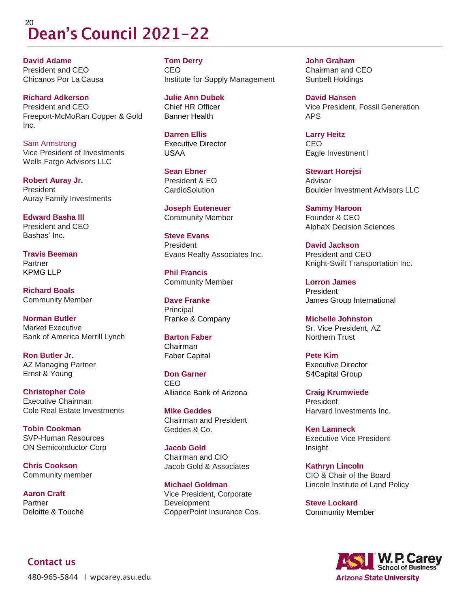# $20^{\circ}$ Dean's Council 2021-22

**David Adame** President and CEO Chicanos Por La Causa

**Richard Adkerson** President and CEO Freeport-McMoRan Copper & Gold Inc.

Sam Armstrong Vice President of Investments Wells Fargo Advisors LLC

**Robert Auray Jr.** President Auray Family Investments

**Edward Basha III** President and CEO Bashas' Inc.

**Travis Beeman Partner** KPMG LLP

**Richard Boals** Community Member

**Norman Butler** Market Executive Bank of America Merrill Lynch

**Ron Butler Jr.** AZ Managing Partner Ernst & Young

**Christopher Cole** Executive Chairman Cole Real Estate Investments

**Tobin Cookman** SVP-Human Resources ON Semiconductor Corp

**Chris Cookson** Community member

**Aaron Craft Partner** Deloitte & Touché **Tom Derry** CEO Institute for Supply Management

**Julie Ann Dubek** Chief HR Officer Banner Health

**Darren Ellis** Executive Director USAA

**Sean Ebner** President & EO **CardioSolution** 

**Joseph Euteneuer** Community Member

**Steve Evans** President Evans Realty Associates Inc.

**Phil Francis** Community Member

**Dave Franke Principal** Franke & Company

**Barton Faber** Chairman Faber Capital

**Don Garner** CEO Alliance Bank of Arizona

**Mike Geddes** Chairman and President Geddes & Co.

**Jacob Gold** Chairman and CIO Jacob Gold & Associates

**Michael Goldman** Vice President, Corporate Development CopperPoint Insurance Cos.

**John Graham** Chairman and CEO Sunbelt Holdings

**David Hansen** Vice President, Fossil Generation APS

**Larry Heitz** CEO Eagle Investment I

**Stewart Horejsi** Advisor Boulder Investment Advisors LLC

**Sammy Haroon** Founder & CEO AlphaX Decision Sciences

**David Jackson** President and CEO Knight-Swift Transportation Inc.

**Lorron James** President James Group International

**Michelle Johnston** Sr. Vice President, AZ Northern Trust

**Pete Kim** Executive Director S4Capital Group

**Craig Krumwiede** President Harvard Investments Inc.

**Ken Lamneck** Executive Vice President Insight

**Kathryn Lincoln** CIO & Chair of the Board Lincoln Institute of Land Policy

**Steve Lockard** Community Member



**Contact us** 480-965-5844 l wpcarey.asu.edu